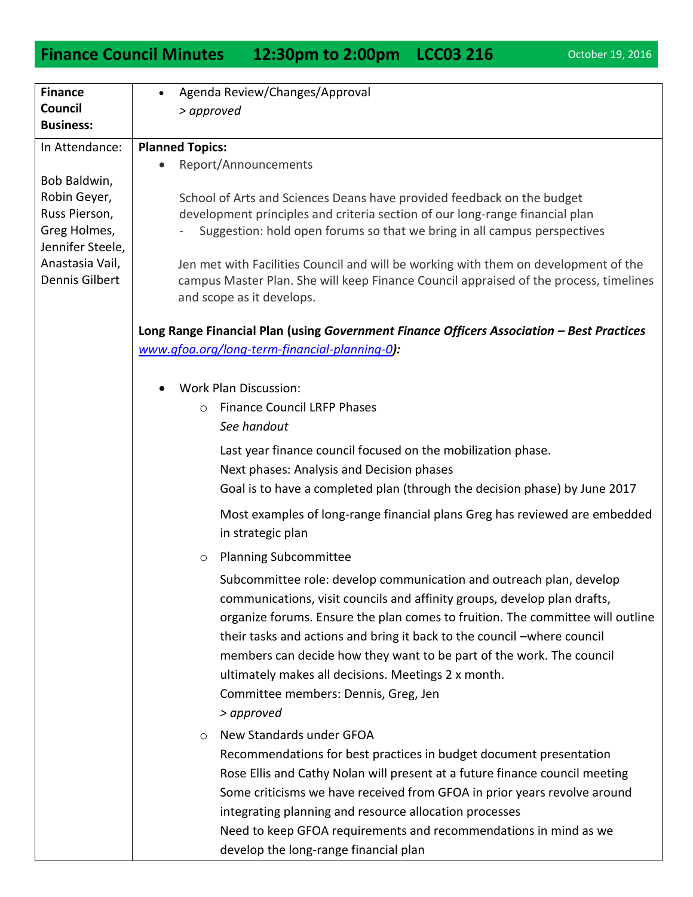## **Finance Council Minutes 12:30pm to 2:00pm LCC03 216** October 19, 2016

| <b>Finance</b>   | Agenda Review/Changes/Approval                                                            |
|------------------|-------------------------------------------------------------------------------------------|
| Council          | > approved                                                                                |
| <b>Business:</b> |                                                                                           |
| In Attendance:   | <b>Planned Topics:</b>                                                                    |
|                  | Report/Announcements                                                                      |
| Bob Baldwin,     |                                                                                           |
| Robin Geyer,     | School of Arts and Sciences Deans have provided feedback on the budget                    |
| Russ Pierson,    | development principles and criteria section of our long-range financial plan              |
| Greg Holmes,     | Suggestion: hold open forums so that we bring in all campus perspectives                  |
| Jennifer Steele, |                                                                                           |
| Anastasia Vail,  | Jen met with Facilities Council and will be working with them on development of the       |
| Dennis Gilbert   | campus Master Plan. She will keep Finance Council appraised of the process, timelines     |
|                  | and scope as it develops.                                                                 |
|                  |                                                                                           |
|                  | Long Range Financial Plan (using Government Finance Officers Association - Best Practices |
|                  | www.gfoa.org/long-term-financial-planning-0):                                             |
|                  |                                                                                           |
|                  | <b>Work Plan Discussion:</b>                                                              |
|                  | <b>Finance Council LRFP Phases</b><br>$\circ$                                             |
|                  | See handout                                                                               |
|                  | Last year finance council focused on the mobilization phase.                              |
|                  | Next phases: Analysis and Decision phases                                                 |
|                  | Goal is to have a completed plan (through the decision phase) by June 2017                |
|                  |                                                                                           |
|                  | Most examples of long-range financial plans Greg has reviewed are embedded                |
|                  | in strategic plan                                                                         |
|                  | <b>Planning Subcommittee</b><br>$\circlearrowright$                                       |
|                  | Subcommittee role: develop communication and outreach plan, develop                       |
|                  | communications, visit councils and affinity groups, develop plan drafts,                  |
|                  | organize forums. Ensure the plan comes to fruition. The committee will outline            |
|                  | their tasks and actions and bring it back to the council -where council                   |
|                  | members can decide how they want to be part of the work. The council                      |
|                  | ultimately makes all decisions. Meetings 2 x month.                                       |
|                  | Committee members: Dennis, Greg, Jen                                                      |
|                  |                                                                                           |
|                  | > approved                                                                                |
|                  | New Standards under GFOA<br>$\circ$                                                       |
|                  | Recommendations for best practices in budget document presentation                        |
|                  | Rose Ellis and Cathy Nolan will present at a future finance council meeting               |
|                  | Some criticisms we have received from GFOA in prior years revolve around                  |
|                  | integrating planning and resource allocation processes                                    |
|                  | Need to keep GFOA requirements and recommendations in mind as we                          |
|                  | develop the long-range financial plan                                                     |